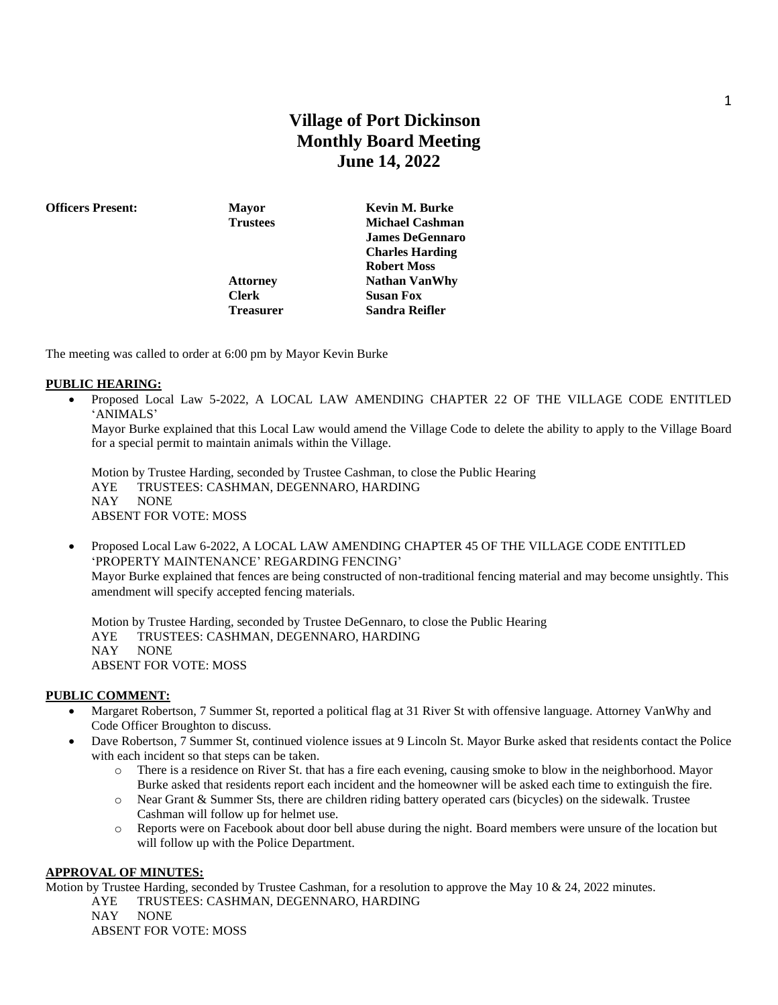# **Village of Port Dickinson Monthly Board Meeting June 14, 2022**

**Officers Present: Mayor Kevin M. Burke**

**Clerk Susan Fox**

**Trustees Michael Cashman James DeGennaro Charles Harding Robert Moss Attorney Nathan VanWhy Treasurer Sandra Reifler**

The meeting was called to order at 6:00 pm by Mayor Kevin Burke

#### **PUBLIC HEARING:**

• Proposed Local Law 5-2022, A LOCAL LAW AMENDING CHAPTER 22 OF THE VILLAGE CODE ENTITLED 'ANIMALS'

Mayor Burke explained that this Local Law would amend the Village Code to delete the ability to apply to the Village Board for a special permit to maintain animals within the Village.

Motion by Trustee Harding, seconded by Trustee Cashman, to close the Public Hearing AYE TRUSTEES: CASHMAN, DEGENNARO, HARDING NAY NONE ABSENT FOR VOTE: MOSS

• Proposed Local Law 6-2022, A LOCAL LAW AMENDING CHAPTER 45 OF THE VILLAGE CODE ENTITLED 'PROPERTY MAINTENANCE' REGARDING FENCING' Mayor Burke explained that fences are being constructed of non-traditional fencing material and may become unsightly. This amendment will specify accepted fencing materials.

Motion by Trustee Harding, seconded by Trustee DeGennaro, to close the Public Hearing AYE TRUSTEES: CASHMAN, DEGENNARO, HARDING NAY NONE ABSENT FOR VOTE: MOSS

#### **PUBLIC COMMENT:**

- Margaret Robertson, 7 Summer St, reported a political flag at 31 River St with offensive language. Attorney VanWhy and Code Officer Broughton to discuss.
- Dave Robertson, 7 Summer St, continued violence issues at 9 Lincoln St. Mayor Burke asked that residents contact the Police with each incident so that steps can be taken.
	- o There is a residence on River St. that has a fire each evening, causing smoke to blow in the neighborhood. Mayor Burke asked that residents report each incident and the homeowner will be asked each time to extinguish the fire.
	- o Near Grant & Summer Sts, there are children riding battery operated cars (bicycles) on the sidewalk. Trustee Cashman will follow up for helmet use.
	- o Reports were on Facebook about door bell abuse during the night. Board members were unsure of the location but will follow up with the Police Department.

#### **APPROVAL OF MINUTES:**

Motion by Trustee Harding, seconded by Trustee Cashman, for a resolution to approve the May 10 & 24, 2022 minutes.

AYE TRUSTEES: CASHMAN, DEGENNARO, HARDING

NAY NONE

ABSENT FOR VOTE: MOSS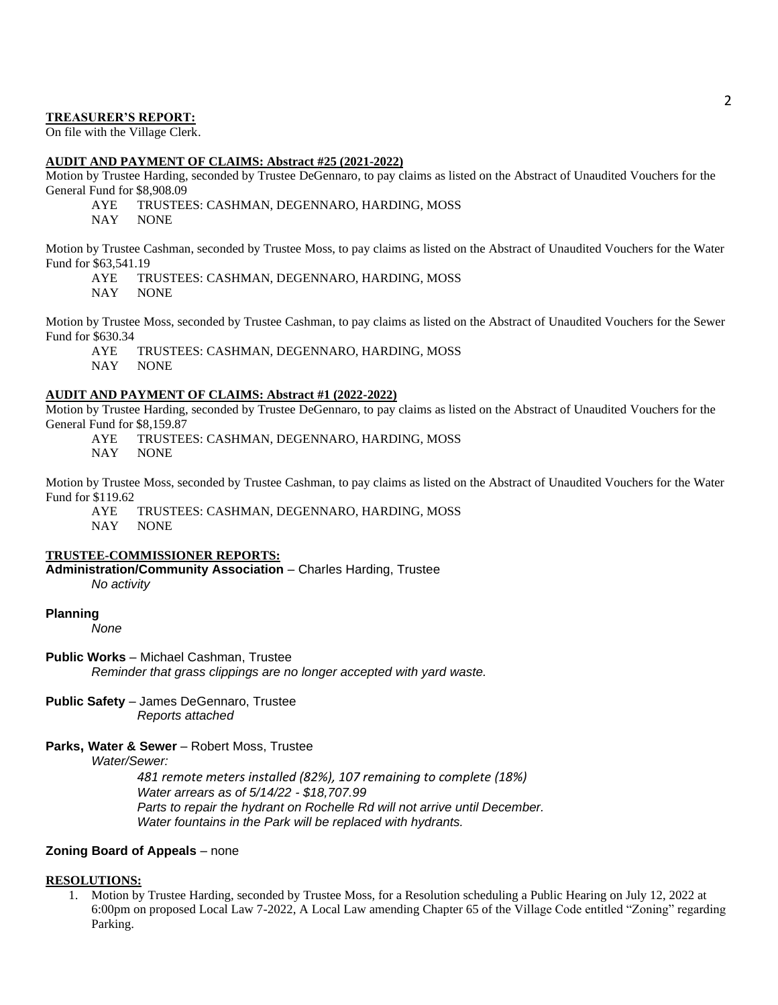#### **TREASURER'S REPORT:**

On file with the Village Clerk.

#### **AUDIT AND PAYMENT OF CLAIMS: Abstract #25 (2021-2022)**

Motion by Trustee Harding, seconded by Trustee DeGennaro, to pay claims as listed on the Abstract of Unaudited Vouchers for the General Fund for \$8,908.09

AYE TRUSTEES: CASHMAN, DEGENNARO, HARDING, MOSS

NAY NONE

Motion by Trustee Cashman, seconded by Trustee Moss, to pay claims as listed on the Abstract of Unaudited Vouchers for the Water Fund for \$63,541.19

AYE TRUSTEES: CASHMAN, DEGENNARO, HARDING, MOSS

NAY NONE

Motion by Trustee Moss, seconded by Trustee Cashman, to pay claims as listed on the Abstract of Unaudited Vouchers for the Sewer Fund for \$630.34

AYE TRUSTEES: CASHMAN, DEGENNARO, HARDING, MOSS

NAY NONE

#### **AUDIT AND PAYMENT OF CLAIMS: Abstract #1 (2022-2022)**

Motion by Trustee Harding, seconded by Trustee DeGennaro, to pay claims as listed on the Abstract of Unaudited Vouchers for the General Fund for \$8,159.87

AYE TRUSTEES: CASHMAN, DEGENNARO, HARDING, MOSS

NAY NONE

Motion by Trustee Moss, seconded by Trustee Cashman, to pay claims as listed on the Abstract of Unaudited Vouchers for the Water Fund for \$119.62

AYE TRUSTEES: CASHMAN, DEGENNARO, HARDING, MOSS NAY NONE

#### **TRUSTEE-COMMISSIONER REPORTS:**

**Administration/Community Association** – Charles Harding, Trustee *No activity*

#### **Planning**

*None*

**Public Works** – Michael Cashman, Trustee

*Reminder that grass clippings are no longer accepted with yard waste.*

**Public Safety** – James DeGennaro, Trustee *Reports attached*

#### **Parks, Water & Sewer** – Robert Moss, Trustee

*Water/Sewer:* 

*481 remote meters installed (82%), 107 remaining to complete (18%) Water arrears as of 5/14/22 - \$18,707.99 Parts to repair the hydrant on Rochelle Rd will not arrive until December. Water fountains in the Park will be replaced with hydrants.*

#### **Zoning Board of Appeals** – none

#### **RESOLUTIONS:**

1. Motion by Trustee Harding, seconded by Trustee Moss, for a Resolution scheduling a Public Hearing on July 12, 2022 at 6:00pm on proposed Local Law 7-2022, A Local Law amending Chapter 65 of the Village Code entitled "Zoning" regarding Parking.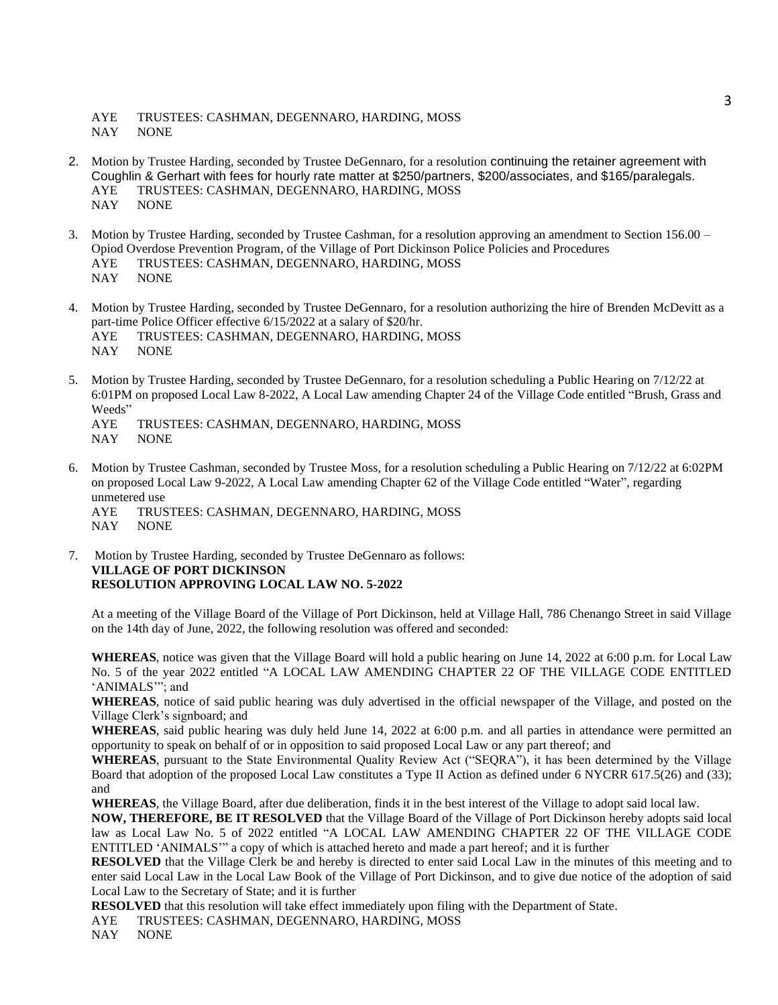AYE TRUSTEES: CASHMAN, DEGENNARO, HARDING, MOSS NAY NONE

- 2. Motion by Trustee Harding, seconded by Trustee DeGennaro, for a resolution continuing the retainer agreement with Coughlin & Gerhart with fees for hourly rate matter at \$250/partners, \$200/associates, and \$165/paralegals. AYE TRUSTEES: CASHMAN, DEGENNARO, HARDING, MOSS NAY NONE
- 3. Motion by Trustee Harding, seconded by Trustee Cashman, for a resolution approving an amendment to Section 156.00 Opiod Overdose Prevention Program, of the Village of Port Dickinson Police Policies and Procedures AYE TRUSTEES: CASHMAN, DEGENNARO, HARDING, MOSS NAY NONE
- 4. Motion by Trustee Harding, seconded by Trustee DeGennaro, for a resolution authorizing the hire of Brenden McDevitt as a part-time Police Officer effective 6/15/2022 at a salary of \$20/hr.<br>AYE TRUSTEES: CASHMAN, DEGENNARO, HARDING. TRUSTEES: CASHMAN, DEGENNARO, HARDING, MOSS NAY NONE
- 5. Motion by Trustee Harding, seconded by Trustee DeGennaro, for a resolution scheduling a Public Hearing on 7/12/22 at 6:01PM on proposed Local Law 8-2022, A Local Law amending Chapter 24 of the Village Code entitled "Brush, Grass and Weeds"
	- AYE TRUSTEES: CASHMAN, DEGENNARO, HARDING, MOSS NAY NONE
- 6. Motion by Trustee Cashman, seconded by Trustee Moss, for a resolution scheduling a Public Hearing on 7/12/22 at 6:02PM on proposed Local Law 9-2022, A Local Law amending Chapter 62 of the Village Code entitled "Water", regarding unmetered use
	- AYE TRUSTEES: CASHMAN, DEGENNARO, HARDING, MOSS NAY NONE
- 7. Motion by Trustee Harding, seconded by Trustee DeGennaro as follows: **VILLAGE OF PORT DICKINSON RESOLUTION APPROVING LOCAL LAW NO. 5-2022**

At a meeting of the Village Board of the Village of Port Dickinson, held at Village Hall, 786 Chenango Street in said Village on the 14th day of June, 2022, the following resolution was offered and seconded:

**WHEREAS**, notice was given that the Village Board will hold a public hearing on June 14, 2022 at 6:00 p.m. for Local Law No. 5 of the year 2022 entitled "A LOCAL LAW AMENDING CHAPTER 22 OF THE VILLAGE CODE ENTITLED 'ANIMALS'"; and

**WHEREAS**, notice of said public hearing was duly advertised in the official newspaper of the Village, and posted on the Village Clerk's signboard; and

**WHEREAS**, said public hearing was duly held June 14, 2022 at 6:00 p.m. and all parties in attendance were permitted an opportunity to speak on behalf of or in opposition to said proposed Local Law or any part thereof; and

**WHEREAS**, pursuant to the State Environmental Quality Review Act ("SEQRA"), it has been determined by the Village Board that adoption of the proposed Local Law constitutes a Type II Action as defined under 6 NYCRR 617.5(26) and (33); and

**WHEREAS**, the Village Board, after due deliberation, finds it in the best interest of the Village to adopt said local law.

**NOW, THEREFORE, BE IT RESOLVED** that the Village Board of the Village of Port Dickinson hereby adopts said local law as Local Law No. 5 of 2022 entitled "A LOCAL LAW AMENDING CHAPTER 22 OF THE VILLAGE CODE ENTITLED 'ANIMALS'" a copy of which is attached hereto and made a part hereof; and it is further

**RESOLVED** that the Village Clerk be and hereby is directed to enter said Local Law in the minutes of this meeting and to enter said Local Law in the Local Law Book of the Village of Port Dickinson, and to give due notice of the adoption of said Local Law to the Secretary of State; and it is further

**RESOLVED** that this resolution will take effect immediately upon filing with the Department of State.

AYE TRUSTEES: CASHMAN, DEGENNARO, HARDING, MOSS

NAY NONE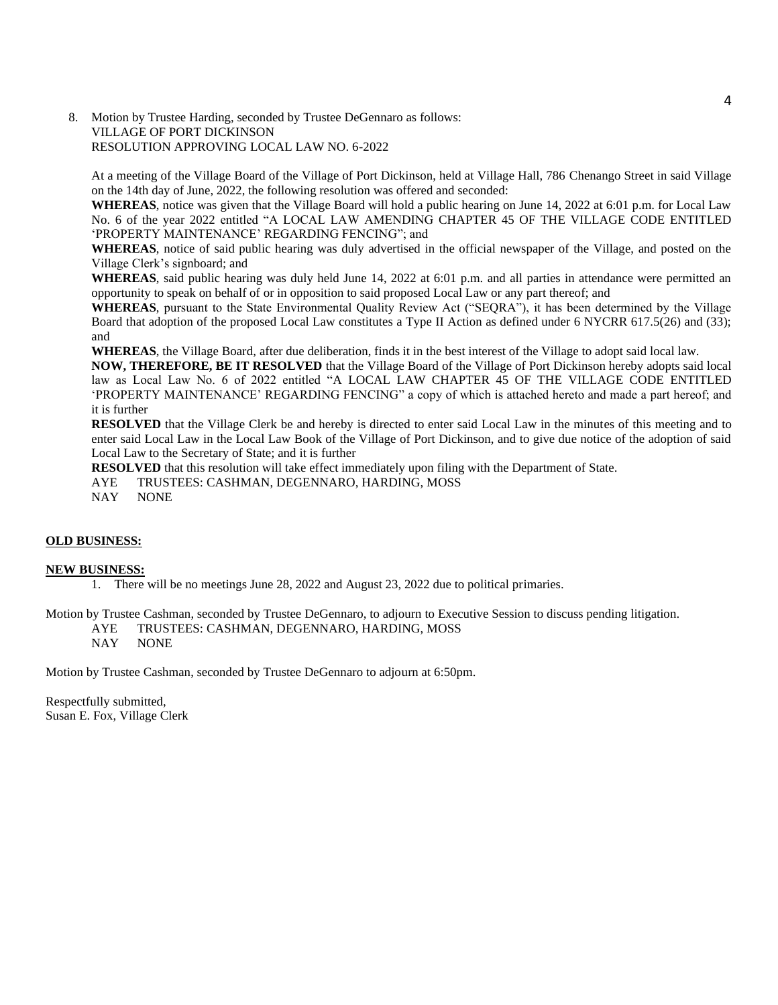8. Motion by Trustee Harding, seconded by Trustee DeGennaro as follows: VILLAGE OF PORT DICKINSON RESOLUTION APPROVING LOCAL LAW NO. 6-2022

At a meeting of the Village Board of the Village of Port Dickinson, held at Village Hall, 786 Chenango Street in said Village on the 14th day of June, 2022, the following resolution was offered and seconded:

**WHEREAS**, notice was given that the Village Board will hold a public hearing on June 14, 2022 at 6:01 p.m. for Local Law No. 6 of the year 2022 entitled "A LOCAL LAW AMENDING CHAPTER 45 OF THE VILLAGE CODE ENTITLED 'PROPERTY MAINTENANCE' REGARDING FENCING"; and

**WHEREAS**, notice of said public hearing was duly advertised in the official newspaper of the Village, and posted on the Village Clerk's signboard; and

**WHEREAS**, said public hearing was duly held June 14, 2022 at 6:01 p.m. and all parties in attendance were permitted an opportunity to speak on behalf of or in opposition to said proposed Local Law or any part thereof; and

WHEREAS, pursuant to the State Environmental Quality Review Act ("SEQRA"), it has been determined by the Village Board that adoption of the proposed Local Law constitutes a Type II Action as defined under 6 NYCRR 617.5(26) and (33); and

**WHEREAS**, the Village Board, after due deliberation, finds it in the best interest of the Village to adopt said local law.

**NOW, THEREFORE, BE IT RESOLVED** that the Village Board of the Village of Port Dickinson hereby adopts said local law as Local Law No. 6 of 2022 entitled "A LOCAL LAW CHAPTER 45 OF THE VILLAGE CODE ENTITLED 'PROPERTY MAINTENANCE' REGARDING FENCING" a copy of which is attached hereto and made a part hereof; and it is further

**RESOLVED** that the Village Clerk be and hereby is directed to enter said Local Law in the minutes of this meeting and to enter said Local Law in the Local Law Book of the Village of Port Dickinson, and to give due notice of the adoption of said Local Law to the Secretary of State; and it is further

**RESOLVED** that this resolution will take effect immediately upon filing with the Department of State.

AYE TRUSTEES: CASHMAN, DEGENNARO, HARDING, MOSS

NAY NONE

#### **OLD BUSINESS:**

#### **NEW BUSINESS:**

1. There will be no meetings June 28, 2022 and August 23, 2022 due to political primaries.

Motion by Trustee Cashman, seconded by Trustee DeGennaro, to adjourn to Executive Session to discuss pending litigation. AYE TRUSTEES: CASHMAN, DEGENNARO, HARDING, MOSS NAY NONE

Motion by Trustee Cashman, seconded by Trustee DeGennaro to adjourn at 6:50pm.

Respectfully submitted, Susan E. Fox, Village Clerk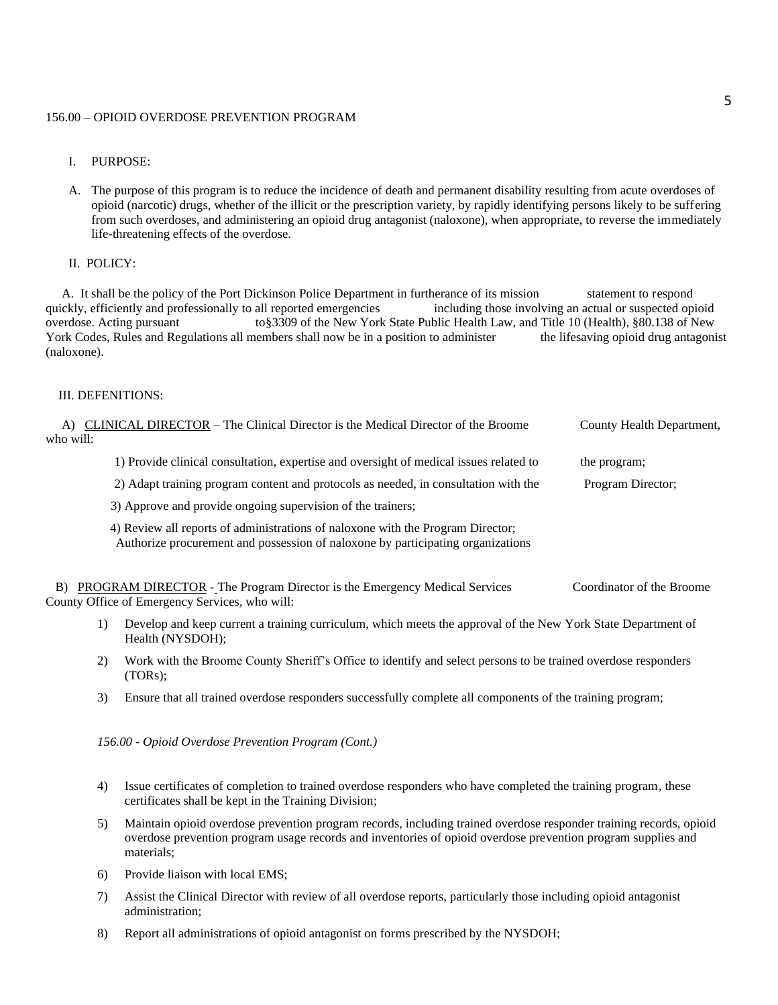#### 156.00 – OPIOID OVERDOSE PREVENTION PROGRAM

- I. PURPOSE:
- A. The purpose of this program is to reduce the incidence of death and permanent disability resulting from acute overdoses of opioid (narcotic) drugs, whether of the illicit or the prescription variety, by rapidly identifying persons likely to be suffering from such overdoses, and administering an opioid drug antagonist (naloxone), when appropriate, to reverse the immediately life-threatening effects of the overdose.

#### II. POLICY:

 A. It shall be the policy of the Port Dickinson Police Department in furtherance of its mission statement to respond quickly, efficiently and professionally to all reported emergencies including those involving an actual or suspected opioid overdose. Acting pursuant to§3309 of the New York State Public Health Law, and Title 10 (Health), §80.138 of New York Codes, Rules and Regulations all members shall now be in a position to administer the lifesaving opioid drug antagonist (naloxone).

#### III. DEFENITIONS:

| A)        | CLINICAL DIRECTOR – The Clinical Director is the Medical Director of the Broome                                                                                    | County Health Department, |
|-----------|--------------------------------------------------------------------------------------------------------------------------------------------------------------------|---------------------------|
| who will: |                                                                                                                                                                    |                           |
|           | 1) Provide clinical consultation, expertise and oversight of medical issues related to                                                                             | the program;              |
|           | 2) Adapt training program content and protocols as needed, in consultation with the                                                                                | Program Director;         |
|           | 3) Approve and provide ongoing supervision of the trainers;                                                                                                        |                           |
|           | 4) Review all reports of administrations of naloxone with the Program Director;<br>Authorize procurement and possession of naloxone by participating organizations |                           |
| B)        | <b>PROGRAM DIRECTOR - The Program Director is the Emergency Medical Services</b><br>County Office of Emergency Services, who will:                                 | Coordinator of the Broome |
| 1)        | Develop and keep current a training curriculum, which meets the approval of the New York State Department of<br>Health (NYSDOH);                                   |                           |
| 2)        | Work with the Broome County Sheriff's Office to identify and select persons to be trained overdose responders                                                      |                           |

- (TORs);
- 3) Ensure that all trained overdose responders successfully complete all components of the training program;

*156.00 - Opioid Overdose Prevention Program (Cont.)*

- 4) Issue certificates of completion to trained overdose responders who have completed the training program, these certificates shall be kept in the Training Division;
- 5) Maintain opioid overdose prevention program records, including trained overdose responder training records, opioid overdose prevention program usage records and inventories of opioid overdose prevention program supplies and materials;
- 6) Provide liaison with local EMS;
- 7) Assist the Clinical Director with review of all overdose reports, particularly those including opioid antagonist administration;
- 8) Report all administrations of opioid antagonist on forms prescribed by the NYSDOH;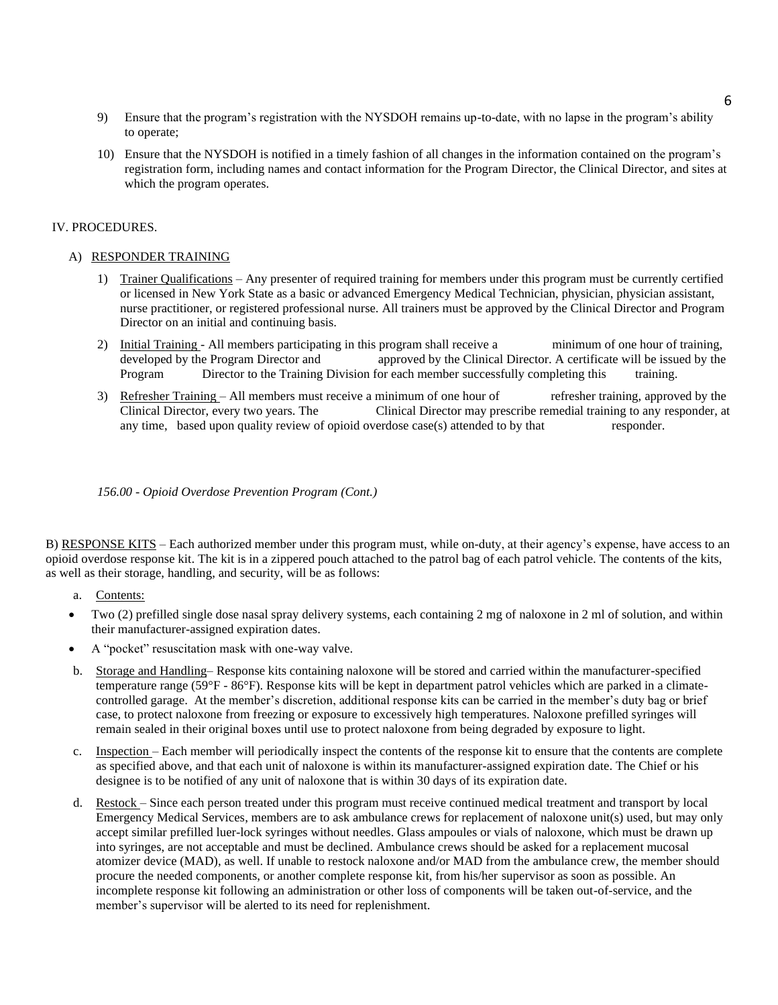- 9) Ensure that the program's registration with the NYSDOH remains up-to-date, with no lapse in the program's ability to operate;
- 10) Ensure that the NYSDOH is notified in a timely fashion of all changes in the information contained on the program's registration form, including names and contact information for the Program Director, the Clinical Director, and sites at which the program operates.

#### IV. PROCEDURES.

#### A) RESPONDER TRAINING

- 1) Trainer Qualifications Any presenter of required training for members under this program must be currently certified or licensed in New York State as a basic or advanced Emergency Medical Technician, physician, physician assistant, nurse practitioner, or registered professional nurse. All trainers must be approved by the Clinical Director and Program Director on an initial and continuing basis.
- 2) Initial Training All members participating in this program shall receive a minimum of one hour of training, developed by the Program Director and approved by the Clinical Director. A certificate will be issued by the Program Director to the Training Division for each member successfully completing this training.
- 3) Refresher Training All members must receive a minimum of one hour of refresher training, approved by the Clinical Director, every two years. The Clinical Director may prescribe remedial training to any responder, at any time, based upon quality review of opioid overdose case(s) attended to by that responder.

*156.00 - Opioid Overdose Prevention Program (Cont.)*

B) RESPONSE KITS – Each authorized member under this program must, while on-duty, at their agency's expense, have access to an opioid overdose response kit. The kit is in a zippered pouch attached to the patrol bag of each patrol vehicle. The contents of the kits, as well as their storage, handling, and security, will be as follows:

- a. Contents:
- Two (2) prefilled single dose nasal spray delivery systems, each containing 2 mg of naloxone in 2 ml of solution, and within their manufacturer-assigned expiration dates.
- A "pocket" resuscitation mask with one-way valve.
- b. Storage and Handling– Response kits containing naloxone will be stored and carried within the manufacturer-specified temperature range (59°F - 86°F). Response kits will be kept in department patrol vehicles which are parked in a climatecontrolled garage. At the member's discretion, additional response kits can be carried in the member's duty bag or brief case, to protect naloxone from freezing or exposure to excessively high temperatures. Naloxone prefilled syringes will remain sealed in their original boxes until use to protect naloxone from being degraded by exposure to light.
- c. Inspection Each member will periodically inspect the contents of the response kit to ensure that the contents are complete as specified above, and that each unit of naloxone is within its manufacturer-assigned expiration date. The Chief or his designee is to be notified of any unit of naloxone that is within 30 days of its expiration date.
- d. Restock Since each person treated under this program must receive continued medical treatment and transport by local Emergency Medical Services, members are to ask ambulance crews for replacement of naloxone unit(s) used, but may only accept similar prefilled luer-lock syringes without needles. Glass ampoules or vials of naloxone, which must be drawn up into syringes, are not acceptable and must be declined. Ambulance crews should be asked for a replacement mucosal atomizer device (MAD), as well. If unable to restock naloxone and/or MAD from the ambulance crew, the member should procure the needed components, or another complete response kit, from his/her supervisor as soon as possible. An incomplete response kit following an administration or other loss of components will be taken out-of-service, and the member's supervisor will be alerted to its need for replenishment.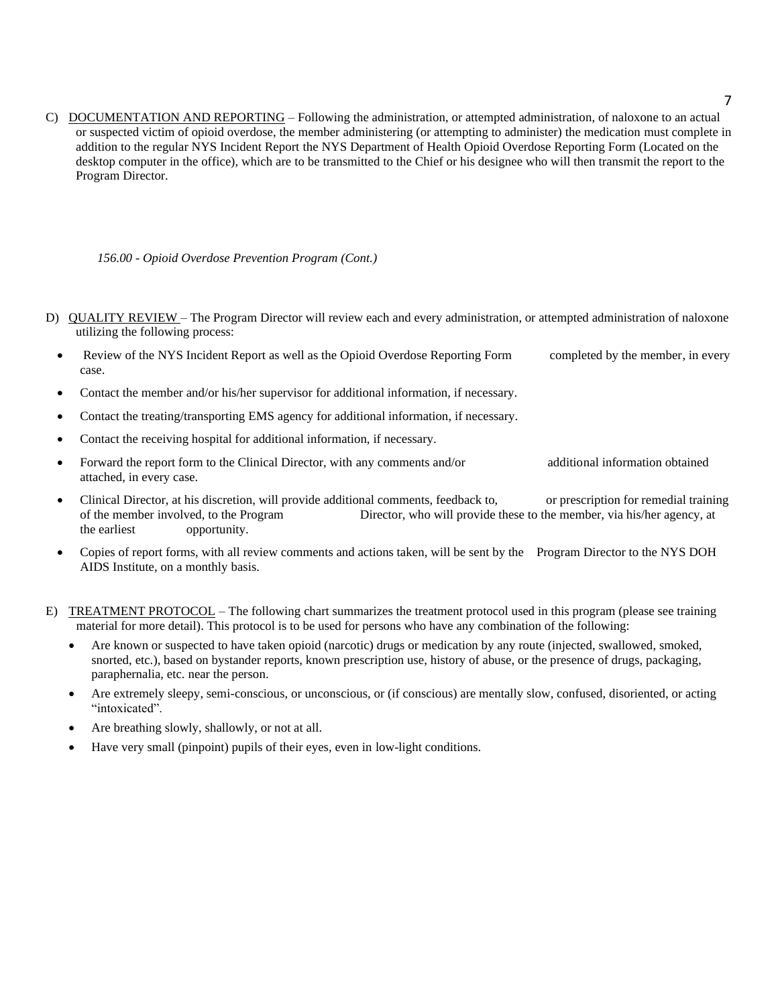C) DOCUMENTATION AND REPORTING – Following the administration, or attempted administration, of naloxone to an actual or suspected victim of opioid overdose, the member administering (or attempting to administer) the medication must complete in addition to the regular NYS Incident Report the NYS Department of Health Opioid Overdose Reporting Form (Located on the desktop computer in the office), which are to be transmitted to the Chief or his designee who will then transmit the report to the Program Director.

*156.00 - Opioid Overdose Prevention Program (Cont.)*

- D) QUALITY REVIEW The Program Director will review each and every administration, or attempted administration of naloxone utilizing the following process:
	- Review of the NYS Incident Report as well as the Opioid Overdose Reporting Form completed by the member, in every case.
	- Contact the member and/or his/her supervisor for additional information, if necessary.
	- Contact the treating/transporting EMS agency for additional information, if necessary.
	- Contact the receiving hospital for additional information, if necessary.
	- Forward the report form to the Clinical Director, with any comments and/or additional information obtained attached, in every case.
	- Clinical Director, at his discretion, will provide additional comments, feedback to, or prescription for remedial training of the member involved, to the Program Director, who will provide these to the member, via his/her agency, at the earliest opportunity.
	- Copies of report forms, with all review comments and actions taken, will be sent by the Program Director to the NYS DOH AIDS Institute, on a monthly basis.
- E) TREATMENT PROTOCOL The following chart summarizes the treatment protocol used in this program (please see training material for more detail). This protocol is to be used for persons who have any combination of the following:
	- Are known or suspected to have taken opioid (narcotic) drugs or medication by any route (injected, swallowed, smoked, snorted, etc.), based on bystander reports, known prescription use, history of abuse, or the presence of drugs, packaging, paraphernalia, etc. near the person.
	- Are extremely sleepy, semi-conscious, or unconscious, or (if conscious) are mentally slow, confused, disoriented, or acting "intoxicated".
	- Are breathing slowly, shallowly, or not at all.
	- Have very small (pinpoint) pupils of their eyes, even in low-light conditions.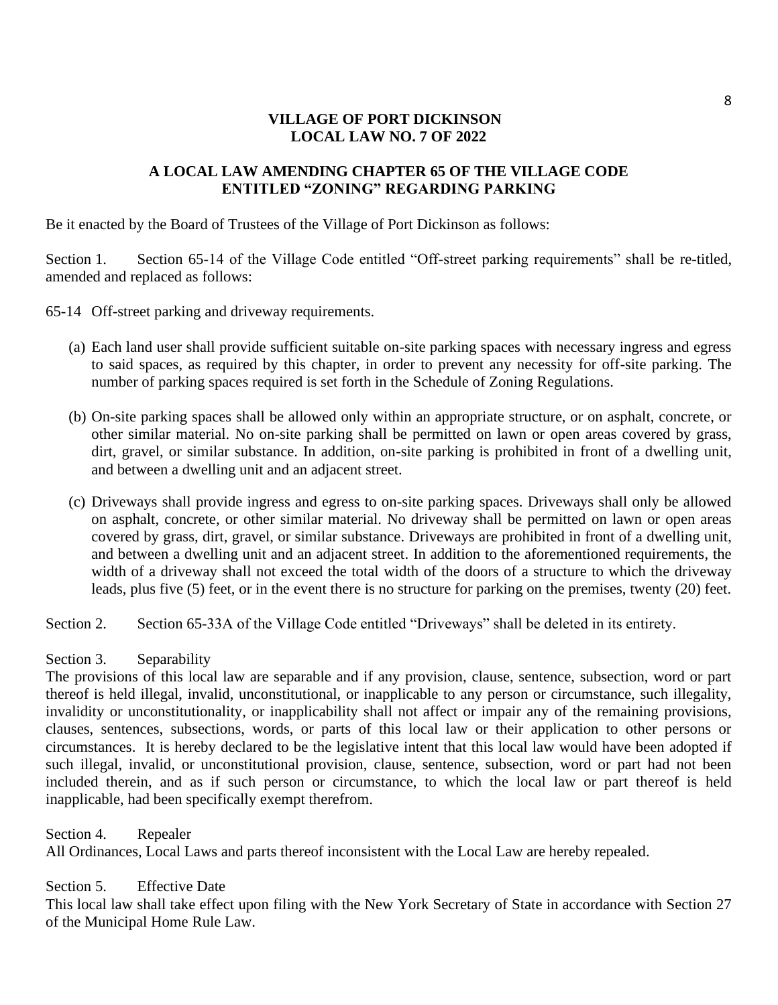## **VILLAGE OF PORT DICKINSON LOCAL LAW NO. 7 OF 2022**

## **A LOCAL LAW AMENDING CHAPTER 65 OF THE VILLAGE CODE ENTITLED "ZONING" REGARDING PARKING**

Be it enacted by the Board of Trustees of the Village of Port Dickinson as follows:

Section 1. Section 65-14 of the Village Code entitled "Off-street parking requirements" shall be re-titled, amended and replaced as follows:

65-14 Off-street parking and driveway requirements.

- (a) Each land user shall provide sufficient suitable on-site parking spaces with necessary ingress and egress to said spaces, as required by this chapter, in order to prevent any necessity for off-site parking. The number of parking spaces required is set forth in the Schedule of Zoning Regulations.
- (b) On-site parking spaces shall be allowed only within an appropriate structure, or on asphalt, concrete, or other similar material. No on-site parking shall be permitted on lawn or open areas covered by grass, dirt, gravel, or similar substance. In addition, on-site parking is prohibited in front of a dwelling unit, and between a dwelling unit and an adjacent street.
- (c) Driveways shall provide ingress and egress to on-site parking spaces. Driveways shall only be allowed on asphalt, concrete, or other similar material. No driveway shall be permitted on lawn or open areas covered by grass, dirt, gravel, or similar substance. Driveways are prohibited in front of a dwelling unit, and between a dwelling unit and an adjacent street. In addition to the aforementioned requirements, the width of a driveway shall not exceed the total width of the doors of a structure to which the driveway leads, plus five (5) feet, or in the event there is no structure for parking on the premises, twenty (20) feet.

Section 2. Section 65-33A of the Village Code entitled "Driveways" shall be deleted in its entirety.

## Section 3. Separability

The provisions of this local law are separable and if any provision, clause, sentence, subsection, word or part thereof is held illegal, invalid, unconstitutional, or inapplicable to any person or circumstance, such illegality, invalidity or unconstitutionality, or inapplicability shall not affect or impair any of the remaining provisions, clauses, sentences, subsections, words, or parts of this local law or their application to other persons or circumstances. It is hereby declared to be the legislative intent that this local law would have been adopted if such illegal, invalid, or unconstitutional provision, clause, sentence, subsection, word or part had not been included therein, and as if such person or circumstance, to which the local law or part thereof is held inapplicable, had been specifically exempt therefrom.

Section 4. Repealer All Ordinances, Local Laws and parts thereof inconsistent with the Local Law are hereby repealed.

Section 5. Effective Date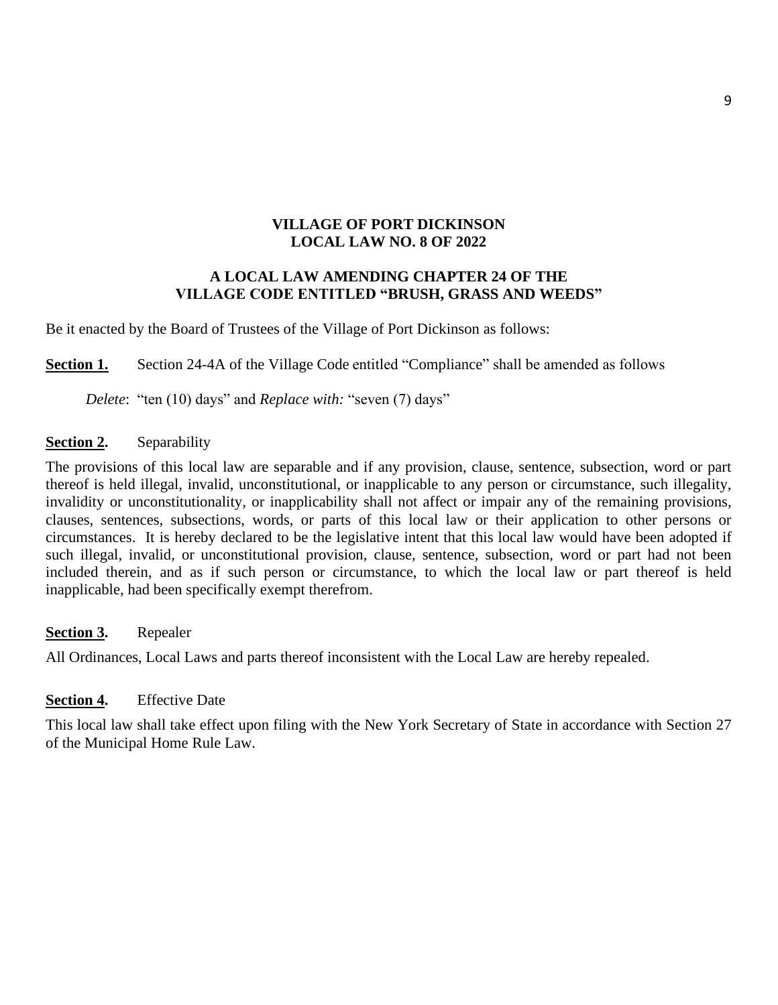## **VILLAGE OF PORT DICKINSON LOCAL LAW NO. 8 OF 2022**

## **A LOCAL LAW AMENDING CHAPTER 24 OF THE VILLAGE CODE ENTITLED "BRUSH, GRASS AND WEEDS"**

Be it enacted by the Board of Trustees of the Village of Port Dickinson as follows:

**Section 1.** Section 24-4A of the Village Code entitled "Compliance" shall be amended as follows

*Delete*: "ten (10) days" and *Replace with:* "seven (7) days"

## **Section 2.** Separability

The provisions of this local law are separable and if any provision, clause, sentence, subsection, word or part thereof is held illegal, invalid, unconstitutional, or inapplicable to any person or circumstance, such illegality, invalidity or unconstitutionality, or inapplicability shall not affect or impair any of the remaining provisions, clauses, sentences, subsections, words, or parts of this local law or their application to other persons or circumstances. It is hereby declared to be the legislative intent that this local law would have been adopted if such illegal, invalid, or unconstitutional provision, clause, sentence, subsection, word or part had not been included therein, and as if such person or circumstance, to which the local law or part thereof is held inapplicable, had been specifically exempt therefrom.

**Section 3.** Repealer

All Ordinances, Local Laws and parts thereof inconsistent with the Local Law are hereby repealed.

## **Section 4.** Effective Date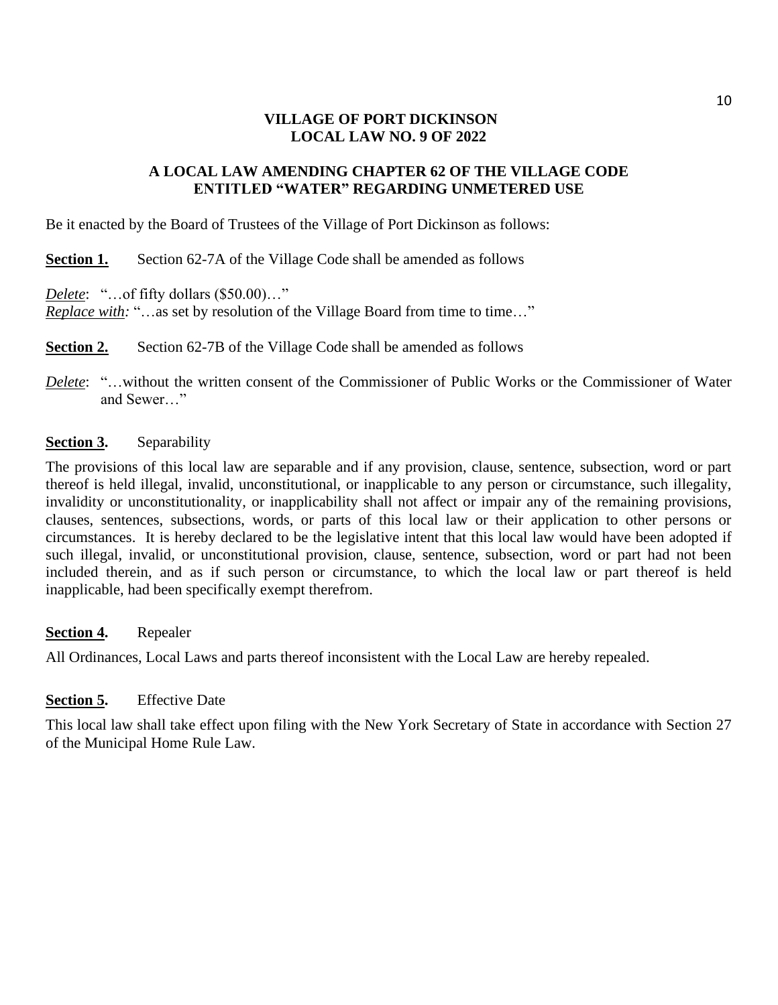## **VILLAGE OF PORT DICKINSON LOCAL LAW NO. 9 OF 2022**

## **A LOCAL LAW AMENDING CHAPTER 62 OF THE VILLAGE CODE ENTITLED "WATER" REGARDING UNMETERED USE**

Be it enacted by the Board of Trustees of the Village of Port Dickinson as follows:

**Section 1.** Section 62-7A of the Village Code shall be amended as follows

*Delete*: "…of fifty dollars (\$50.00)…"

*Replace with:* "...as set by resolution of the Village Board from time to time..."

**Section 2.** Section 62-7B of the Village Code shall be amended as follows

*Delete*: "…without the written consent of the Commissioner of Public Works or the Commissioner of Water and Sewer…"

## **Section 3.** Separability

The provisions of this local law are separable and if any provision, clause, sentence, subsection, word or part thereof is held illegal, invalid, unconstitutional, or inapplicable to any person or circumstance, such illegality, invalidity or unconstitutionality, or inapplicability shall not affect or impair any of the remaining provisions, clauses, sentences, subsections, words, or parts of this local law or their application to other persons or circumstances. It is hereby declared to be the legislative intent that this local law would have been adopted if such illegal, invalid, or unconstitutional provision, clause, sentence, subsection, word or part had not been included therein, and as if such person or circumstance, to which the local law or part thereof is held inapplicable, had been specifically exempt therefrom.

## **Section 4.** Repealer

All Ordinances, Local Laws and parts thereof inconsistent with the Local Law are hereby repealed.

## **Section 5.** Effective Date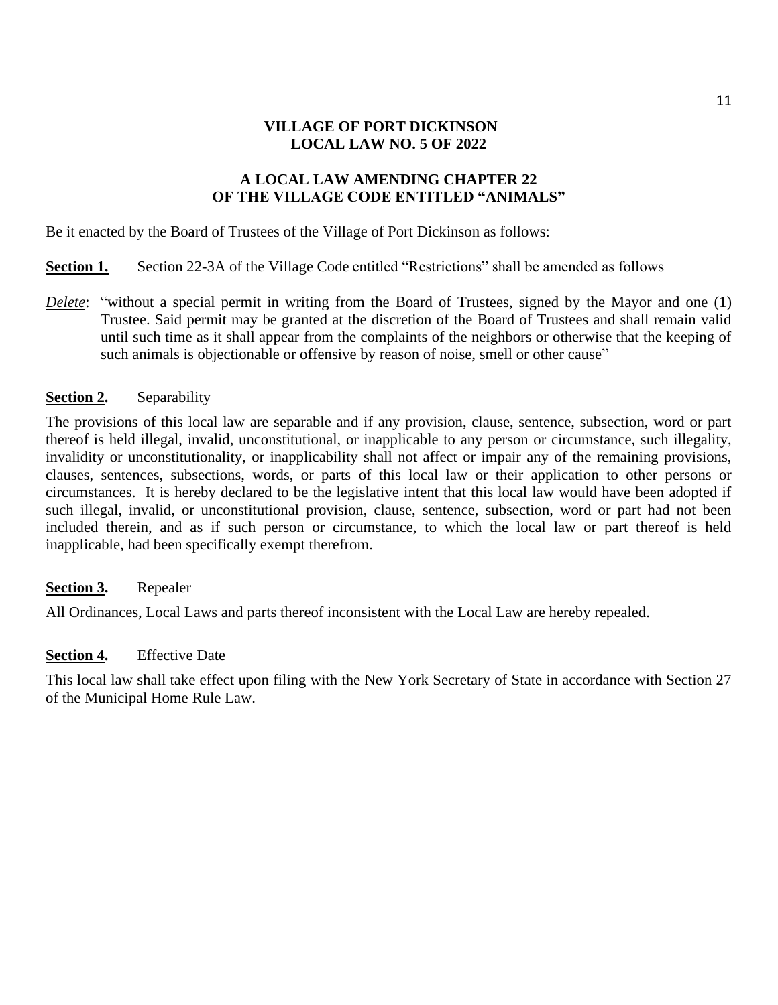## **VILLAGE OF PORT DICKINSON LOCAL LAW NO. 5 OF 2022**

## **A LOCAL LAW AMENDING CHAPTER 22 OF THE VILLAGE CODE ENTITLED "ANIMALS"**

Be it enacted by the Board of Trustees of the Village of Port Dickinson as follows:

- **Section 1.** Section 22-3A of the Village Code entitled "Restrictions" shall be amended as follows
- *Delete*: "without a special permit in writing from the Board of Trustees, signed by the Mayor and one (1) Trustee. Said permit may be granted at the discretion of the Board of Trustees and shall remain valid until such time as it shall appear from the complaints of the neighbors or otherwise that the keeping of such animals is objectionable or offensive by reason of noise, smell or other cause"

## **Section 2.** Separability

The provisions of this local law are separable and if any provision, clause, sentence, subsection, word or part thereof is held illegal, invalid, unconstitutional, or inapplicable to any person or circumstance, such illegality, invalidity or unconstitutionality, or inapplicability shall not affect or impair any of the remaining provisions, clauses, sentences, subsections, words, or parts of this local law or their application to other persons or circumstances. It is hereby declared to be the legislative intent that this local law would have been adopted if such illegal, invalid, or unconstitutional provision, clause, sentence, subsection, word or part had not been included therein, and as if such person or circumstance, to which the local law or part thereof is held inapplicable, had been specifically exempt therefrom.

## **Section 3.** Repealer

All Ordinances, Local Laws and parts thereof inconsistent with the Local Law are hereby repealed.

## **Section 4.** Effective Date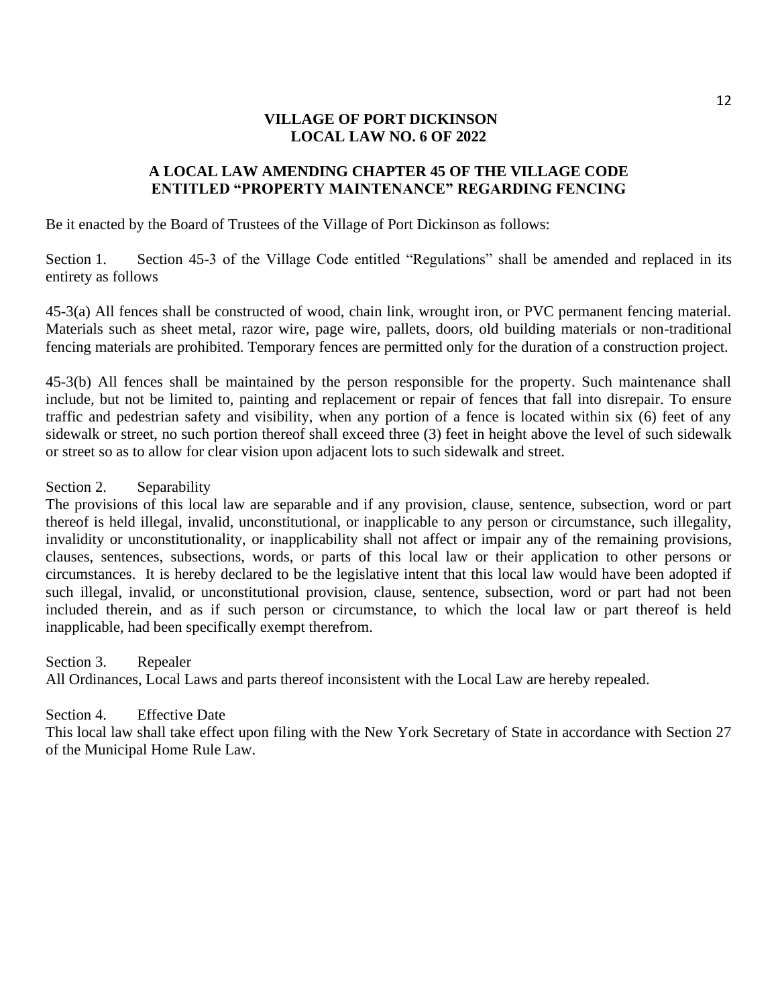## **VILLAGE OF PORT DICKINSON LOCAL LAW NO. 6 OF 2022**

## **A LOCAL LAW AMENDING CHAPTER 45 OF THE VILLAGE CODE ENTITLED "PROPERTY MAINTENANCE" REGARDING FENCING**

Be it enacted by the Board of Trustees of the Village of Port Dickinson as follows:

Section 1. Section 45-3 of the Village Code entitled "Regulations" shall be amended and replaced in its entirety as follows

45-3(a) All fences shall be constructed of wood, chain link, wrought iron, or PVC permanent fencing material. Materials such as sheet metal, razor wire, page wire, pallets, doors, old building materials or non-traditional fencing materials are prohibited. Temporary fences are permitted only for the duration of a construction project.

45-3(b) All fences shall be maintained by the person responsible for the property. Such maintenance shall include, but not be limited to, painting and replacement or repair of fences that fall into disrepair. To ensure traffic and pedestrian safety and visibility, when any portion of a fence is located within six (6) feet of any sidewalk or street, no such portion thereof shall exceed three (3) feet in height above the level of such sidewalk or street so as to allow for clear vision upon adjacent lots to such sidewalk and street.

Section 2. Separability

The provisions of this local law are separable and if any provision, clause, sentence, subsection, word or part thereof is held illegal, invalid, unconstitutional, or inapplicable to any person or circumstance, such illegality, invalidity or unconstitutionality, or inapplicability shall not affect or impair any of the remaining provisions, clauses, sentences, subsections, words, or parts of this local law or their application to other persons or circumstances. It is hereby declared to be the legislative intent that this local law would have been adopted if such illegal, invalid, or unconstitutional provision, clause, sentence, subsection, word or part had not been included therein, and as if such person or circumstance, to which the local law or part thereof is held inapplicable, had been specifically exempt therefrom.

Section 3. Repealer All Ordinances, Local Laws and parts thereof inconsistent with the Local Law are hereby repealed.

## Section 4. Effective Date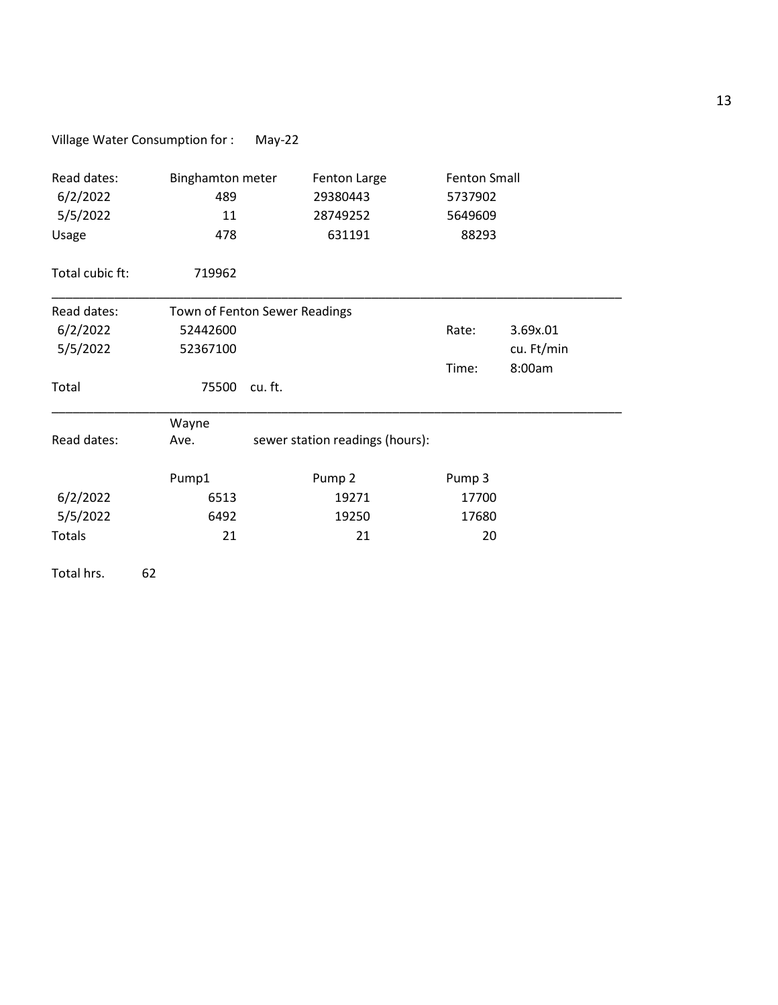# Village Water Consumption for : May-22

| Read dates:<br>6/2/2022<br>5/5/2022<br>Usage | <b>Binghamton meter</b><br>Fenton Large<br>29380443<br>489<br>11<br>28749252<br>631191<br>478 |                                 | <b>Fenton Small</b><br>5737902<br>5649609<br>88293 |            |  |
|----------------------------------------------|-----------------------------------------------------------------------------------------------|---------------------------------|----------------------------------------------------|------------|--|
| Total cubic ft:                              | 719962                                                                                        |                                 |                                                    |            |  |
| Read dates:<br>Town of Fenton Sewer Readings |                                                                                               |                                 |                                                    |            |  |
| 6/2/2022                                     | 52442600                                                                                      | Rate:                           | 3.69x.01                                           |            |  |
| 5/5/2022                                     | 52367100                                                                                      |                                 |                                                    | cu. Ft/min |  |
|                                              |                                                                                               |                                 | Time:                                              | 8:00am     |  |
| Total                                        | 75500                                                                                         | cu. ft.                         |                                                    |            |  |
|                                              | Wayne                                                                                         |                                 |                                                    |            |  |
| Read dates:                                  | Ave.                                                                                          | sewer station readings (hours): |                                                    |            |  |
|                                              | Pump1                                                                                         | Pump <sub>2</sub>               | Pump 3                                             |            |  |
| 6/2/2022                                     | 6513                                                                                          | 19271                           | 17700                                              |            |  |
| 5/5/2022                                     | 6492                                                                                          | 19250                           | 17680                                              |            |  |
| Totals                                       | 21                                                                                            | 21                              | 20                                                 |            |  |
| Total hrs.                                   | 62                                                                                            |                                 |                                                    |            |  |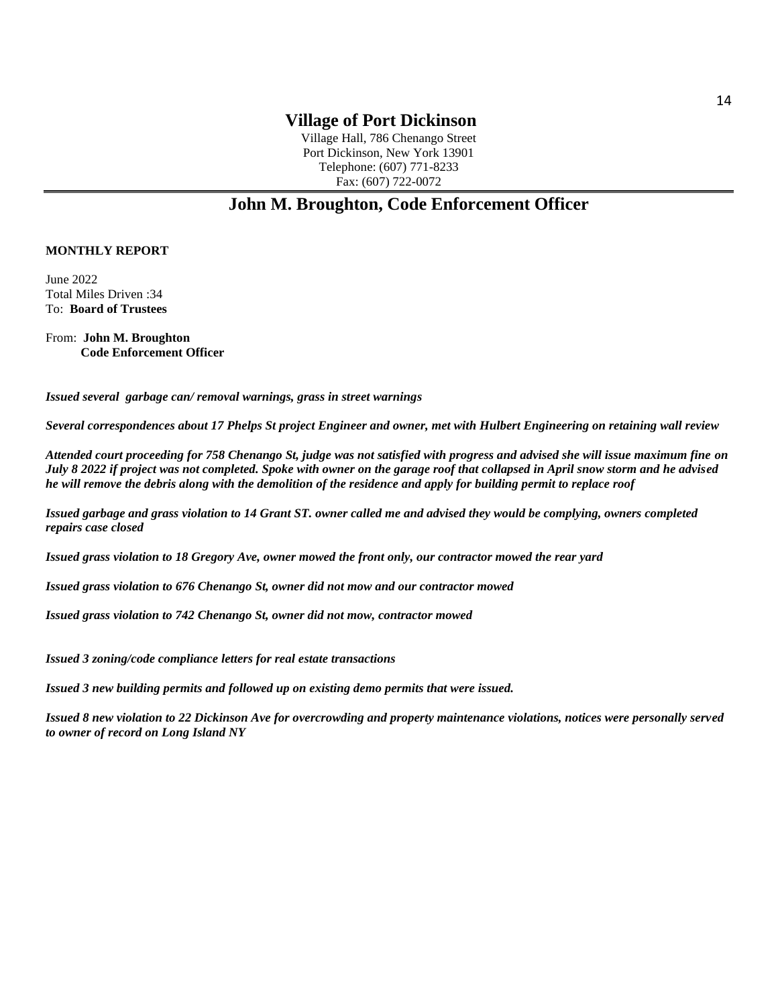Village Hall, 786 Chenango Street Port Dickinson, New York 13901 Telephone: (607) 771-8233 Fax: (607) 722-0072

# **John M. Broughton, Code Enforcement Officer**

#### **MONTHLY REPORT**

June 2022 Total Miles Driven :34 To: **Board of Trustees**

From: **John M. Broughton Code Enforcement Officer**

*Issued several garbage can/ removal warnings, grass in street warnings*

*Several correspondences about 17 Phelps St project Engineer and owner, met with Hulbert Engineering on retaining wall review*

*Attended court proceeding for 758 Chenango St, judge was not satisfied with progress and advised she will issue maximum fine on July 8 2022 if project was not completed. Spoke with owner on the garage roof that collapsed in April snow storm and he advised he will remove the debris along with the demolition of the residence and apply for building permit to replace roof*

*Issued garbage and grass violation to 14 Grant ST. owner called me and advised they would be complying, owners completed repairs case closed*

*Issued grass violation to 18 Gregory Ave, owner mowed the front only, our contractor mowed the rear yard*

*Issued grass violation to 676 Chenango St, owner did not mow and our contractor mowed*

*Issued grass violation to 742 Chenango St, owner did not mow, contractor mowed* 

*Issued 3 zoning/code compliance letters for real estate transactions*

*Issued 3 new building permits and followed up on existing demo permits that were issued.*

*Issued 8 new violation to 22 Dickinson Ave for overcrowding and property maintenance violations, notices were personally served to owner of record on Long Island NY*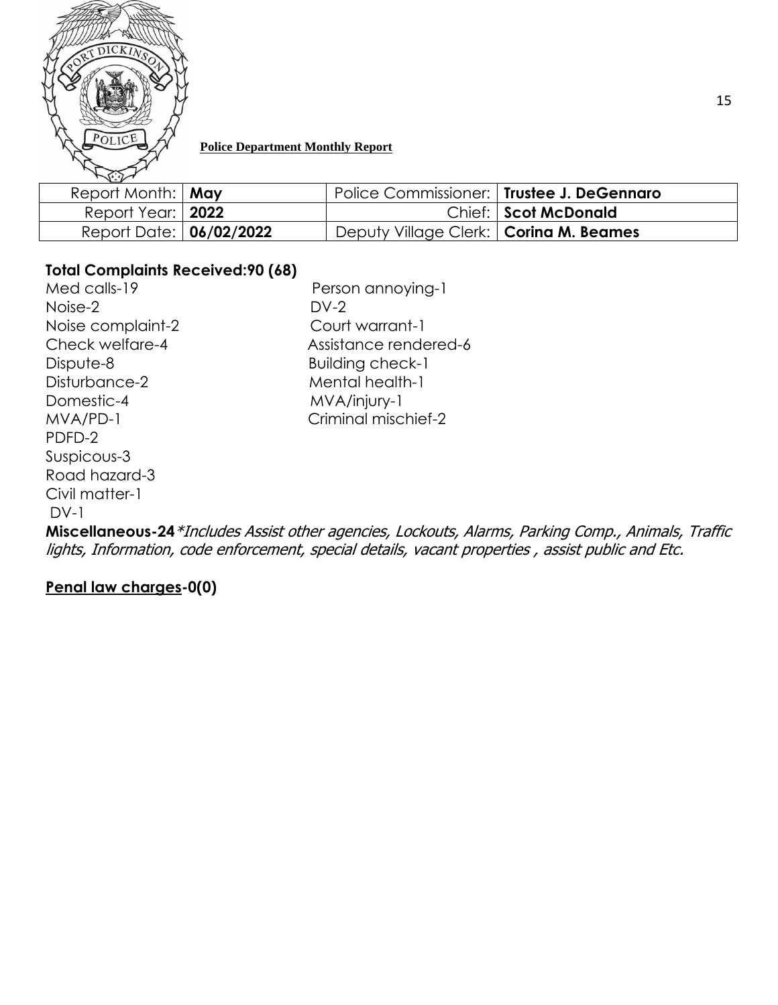

## **Police Department Monthly Report**

| $\sim$                     |                                             |                        |
|----------------------------|---------------------------------------------|------------------------|
| Report Month:   May        | Police Commissioner:   Trustee J. DeGennaro |                        |
| Report Year:   <b>2022</b> |                                             | Chief:   Scot McDonald |
| Report Date: 06/02/2022    | Deputy Village Clerk:   Corina M. Beames    |                        |

# **Total Complaints Received:90 (68)**

Med calls-19 **Person annoying-1** Noise-2 DV-2 Noise complaint-2 Court warrant-1 Dispute-8 Building check-1 Disturbance-2 Mental health-1 Domestic-4 MVA/injury-1 PDFD-2 Suspicous-3 Road hazard-3 Civil matter-1  $DY-1$ 

Check welfare-4 Assistance rendered-6 MVA/PD-1 Criminal mischief-2

**Miscellaneous-24**\*Includes Assist other agencies, Lockouts, Alarms, Parking Comp., Animals, Traffic lights, Information, code enforcement, special details, vacant properties , assist public and Etc.

**Penal law charges-0(0)**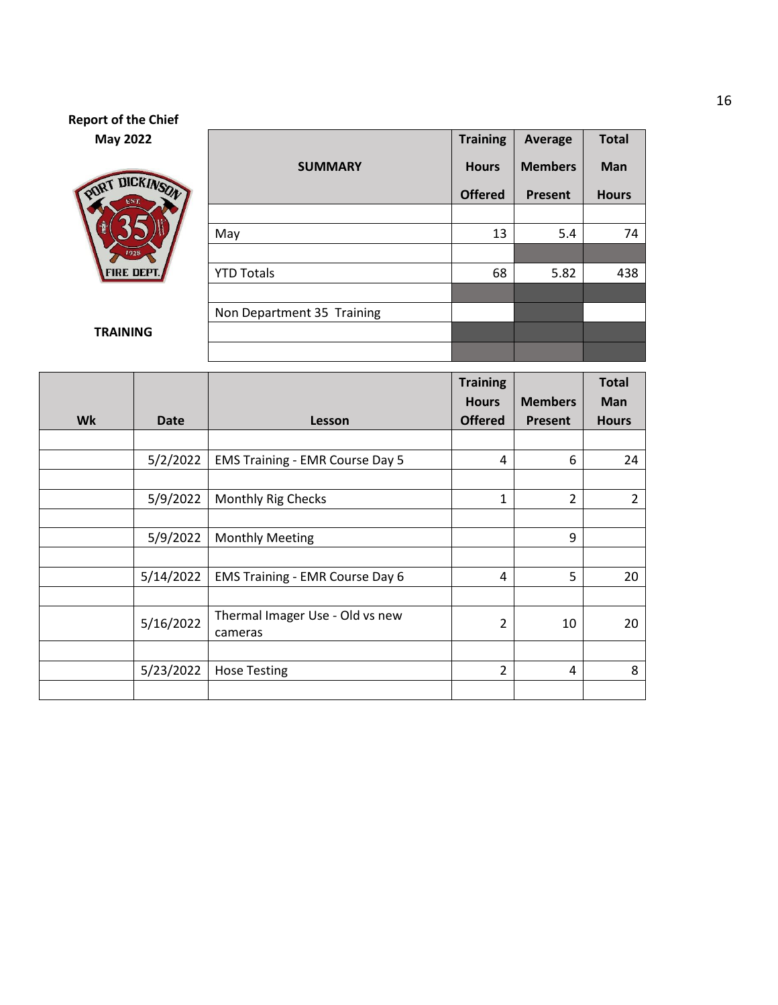# **Report of the Chief May 2022**



|                            | <b>Training</b> | Average        | <b>Total</b> |
|----------------------------|-----------------|----------------|--------------|
| <b>SUMMARY</b>             | <b>Hours</b>    | <b>Members</b> | <b>Man</b>   |
|                            | <b>Offered</b>  | <b>Present</b> | <b>Hours</b> |
|                            |                 |                |              |
| May                        | 13              | 5.4            | 74           |
|                            |                 |                |              |
| <b>YTD Totals</b>          | 68              | 5.82           | 438          |
|                            |                 |                |              |
| Non Department 35 Training |                 |                |              |
|                            |                 |                |              |
|                            |                 |                |              |

#### **TRAINING**

|           |             |                                        | <b>Training</b><br><b>Hours</b> | <b>Members</b> | <b>Total</b><br><b>Man</b> |
|-----------|-------------|----------------------------------------|---------------------------------|----------------|----------------------------|
| <b>Wk</b> | <b>Date</b> | Lesson                                 | <b>Offered</b>                  | Present        | <b>Hours</b>               |
|           |             |                                        |                                 |                |                            |
|           | 5/2/2022    | <b>EMS Training - EMR Course Day 5</b> | 4                               | 6              | 24                         |
|           |             |                                        |                                 |                |                            |
|           | 5/9/2022    | <b>Monthly Rig Checks</b>              | 1                               | $\overline{2}$ | $\overline{2}$             |
|           |             |                                        |                                 |                |                            |
|           | 5/9/2022    | <b>Monthly Meeting</b>                 |                                 | 9              |                            |
|           |             |                                        |                                 |                |                            |
|           | 5/14/2022   | <b>EMS Training - EMR Course Day 6</b> | 4                               | 5              | 20                         |
|           |             |                                        |                                 |                |                            |
|           | 5/16/2022   | Thermal Imager Use - Old vs new        | $\overline{2}$                  | 10             | 20                         |
|           |             | cameras                                |                                 |                |                            |
|           |             |                                        |                                 |                |                            |
|           | 5/23/2022   | <b>Hose Testing</b>                    | 2                               | 4              | 8                          |
|           |             |                                        |                                 |                |                            |